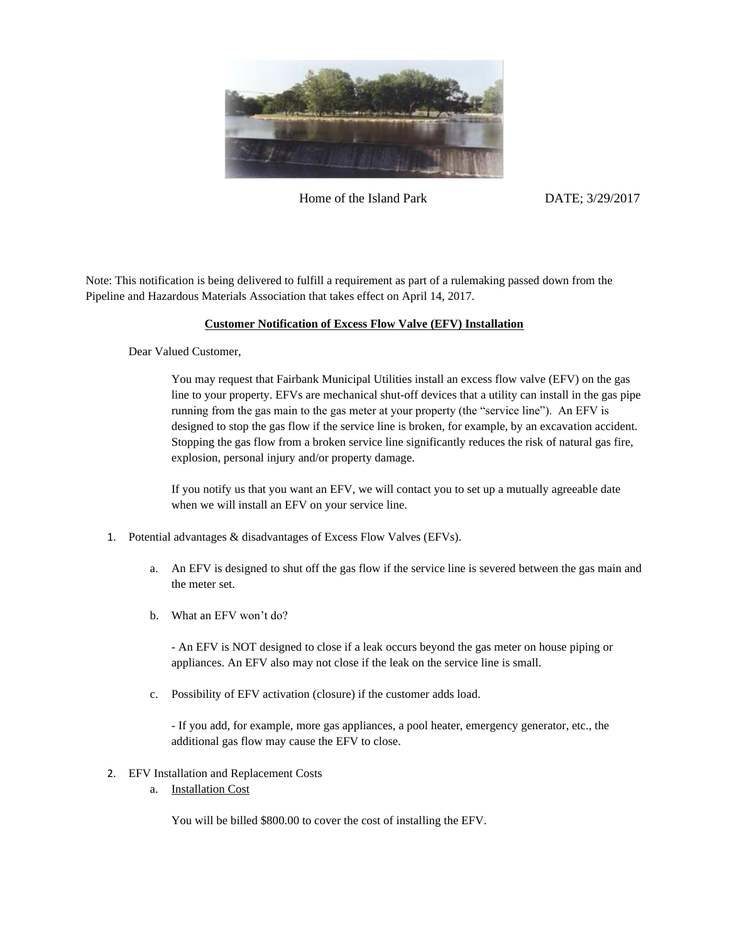

Home of the Island Park DATE: 3/29/2017

Note: This notification is being delivered to fulfill a requirement as part of a rulemaking passed down from the Pipeline and Hazardous Materials Association that takes effect on April 14, 2017.

## **Customer Notification of Excess Flow Valve (EFV) Installation**

Dear Valued Customer,

You may request that Fairbank Municipal Utilities install an excess flow valve (EFV) on the gas line to your property. EFVs are mechanical shut-off devices that a utility can install in the gas pipe running from the gas main to the gas meter at your property (the "service line"). An EFV is designed to stop the gas flow if the service line is broken, for example, by an excavation accident. Stopping the gas flow from a broken service line significantly reduces the risk of natural gas fire, explosion, personal injury and/or property damage.

If you notify us that you want an EFV, we will contact you to set up a mutually agreeable date when we will install an EFV on your service line.

- 1. Potential advantages & disadvantages of Excess Flow Valves (EFVs).
	- a. An EFV is designed to shut off the gas flow if the service line is severed between the gas main and the meter set.
	- b. What an EFV won't do?

- An EFV is NOT designed to close if a leak occurs beyond the gas meter on house piping or appliances. An EFV also may not close if the leak on the service line is small.

c. Possibility of EFV activation (closure) if the customer adds load.

- If you add, for example, more gas appliances, a pool heater, emergency generator, etc., the additional gas flow may cause the EFV to close.

- 2. EFV Installation and Replacement Costs
	- a. Installation Cost

You will be billed \$800.00 to cover the cost of installing the EFV.